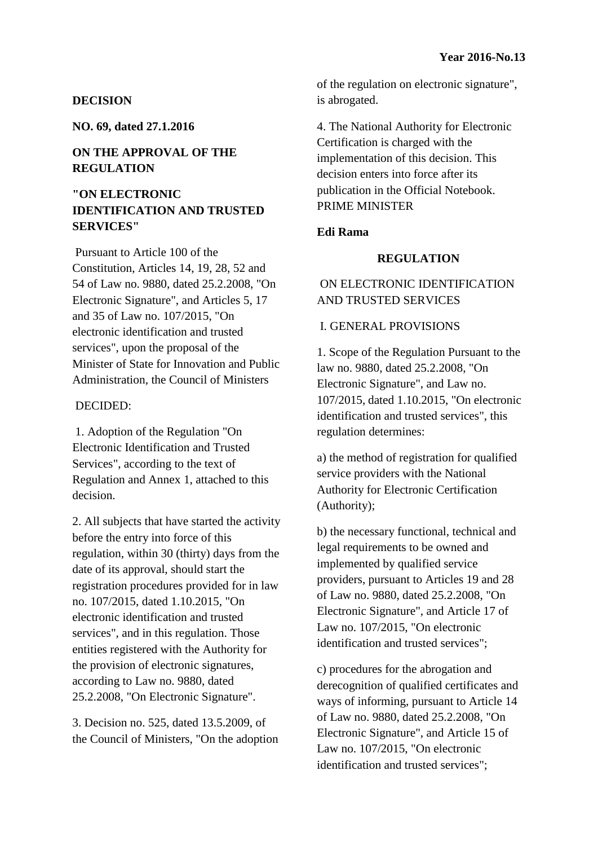### **DECISION**

**NO. 69, dated 27.1.2016**

# **ON THE APPROVAL OF THE REGULATION**

# **"ON ELECTRONIC IDENTIFICATION AND TRUSTED SERVICES"**

Pursuant to Article 100 of the Constitution, Articles 14, 19, 28, 52 and 54 of Law no. 9880, dated 25.2.2008, "On Electronic Signature", and Articles 5, 17 and 35 of Law no. 107/2015, "On electronic identification and trusted services", upon the proposal of the Minister of State for Innovation and Public Administration, the Council of Ministers

#### DECIDED:

1. Adoption of the Regulation "On Electronic Identification and Trusted Services", according to the text of Regulation and Annex 1, attached to this decision.

2. All subjects that have started the activity before the entry into force of this regulation, within 30 (thirty) days from the date of its approval, should start the registration procedures provided for in law no. 107/2015, dated 1.10.2015, "On electronic identification and trusted services", and in this regulation. Those entities registered with the Authority for the provision of electronic signatures, according to Law no. 9880, dated 25.2.2008, "On Electronic Signature".

3. Decision no. 525, dated 13.5.2009, of the Council of Ministers, "On the adoption of the regulation on electronic signature", is abrogated.

4. The National Authority for Electronic Certification is charged with the implementation of this decision. This decision enters into force after its publication in the Official Notebook. PRIME MINISTER

## **Edi Rama**

## **REGULATION**

# ON ELECTRONIC IDENTIFICATION AND TRUSTED SERVICES

### I. GENERAL PROVISIONS

1. Scope of the Regulation Pursuant to the law no. 9880, dated 25.2.2008, "On Electronic Signature", and Law no. 107/2015, dated 1.10.2015, "On electronic identification and trusted services", this regulation determines:

a) the method of registration for qualified service providers with the National Authority for Electronic Certification (Authority);

b) the necessary functional, technical and legal requirements to be owned and implemented by qualified service providers, pursuant to Articles 19 and 28 of Law no. 9880, dated 25.2.2008, "On Electronic Signature", and Article 17 of Law no. 107/2015, "On electronic identification and trusted services";

c) procedures for the abrogation and derecognition of qualified certificates and ways of informing, pursuant to Article 14 of Law no. 9880, dated 25.2.2008, "On Electronic Signature", and Article 15 of Law no. 107/2015, "On electronic identification and trusted services";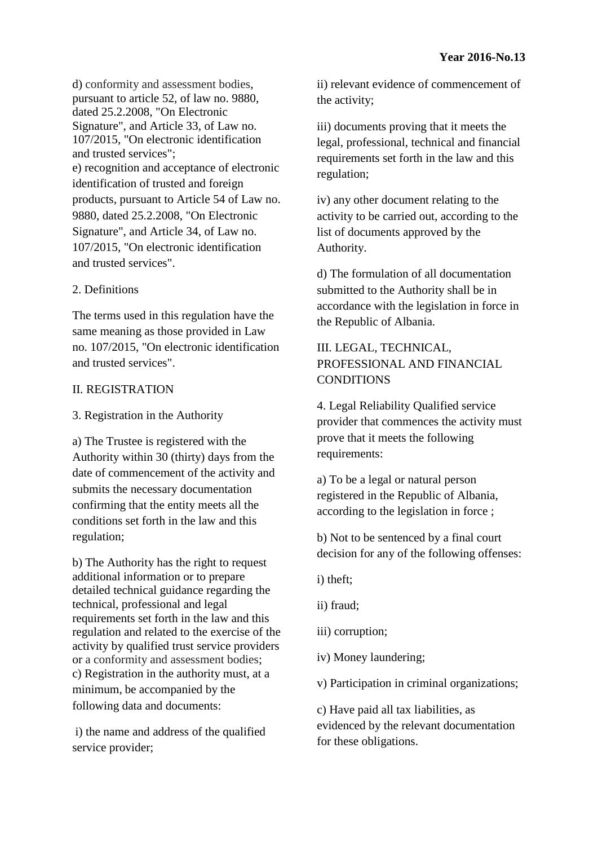d) conformity and assessment bodies, pursuant to article 52, of law no. 9880, dated 25.2.2008, "On Electronic Signature", and Article 33, of Law no. 107/2015, "On electronic identification and trusted services"; e) recognition and acceptance of electronic identification of trusted and foreign products, pursuant to Article 54 of Law no. 9880, dated 25.2.2008, "On Electronic Signature", and Article 34, of Law no. 107/2015, "On electronic identification and trusted services".

# 2. Definitions

The terms used in this regulation have the same meaning as those provided in Law no. 107/2015, "On electronic identification and trusted services".

# II. REGISTRATION

# 3. Registration in the Authority

a) The Trustee is registered with the Authority within 30 (thirty) days from the date of commencement of the activity and submits the necessary documentation confirming that the entity meets all the conditions set forth in the law and this regulation;

b) The Authority has the right to request additional information or to prepare detailed technical guidance regarding the technical, professional and legal requirements set forth in the law and this regulation and related to the exercise of the activity by qualified trust service providers or a conformity and assessment bodies; c) Registration in the authority must, at a minimum, be accompanied by the following data and documents:

i) the name and address of the qualified service provider;

ii) relevant evidence of commencement of the activity;

iii) documents proving that it meets the legal, professional, technical and financial requirements set forth in the law and this regulation;

iv) any other document relating to the activity to be carried out, according to the list of documents approved by the Authority.

d) The formulation of all documentation submitted to the Authority shall be in accordance with the legislation in force in the Republic of Albania.

# III. LEGAL, TECHNICAL, PROFESSIONAL AND FINANCIAL **CONDITIONS**

4. Legal Reliability Qualified service provider that commences the activity must prove that it meets the following requirements:

a) To be a legal or natural person registered in the Republic of Albania, according to the legislation in force ;

b) Not to be sentenced by a final court decision for any of the following offenses:

i) theft;

ii) fraud;

iii) corruption;

iv) Money laundering;

v) Participation in criminal organizations;

c) Have paid all tax liabilities, as evidenced by the relevant documentation for these obligations.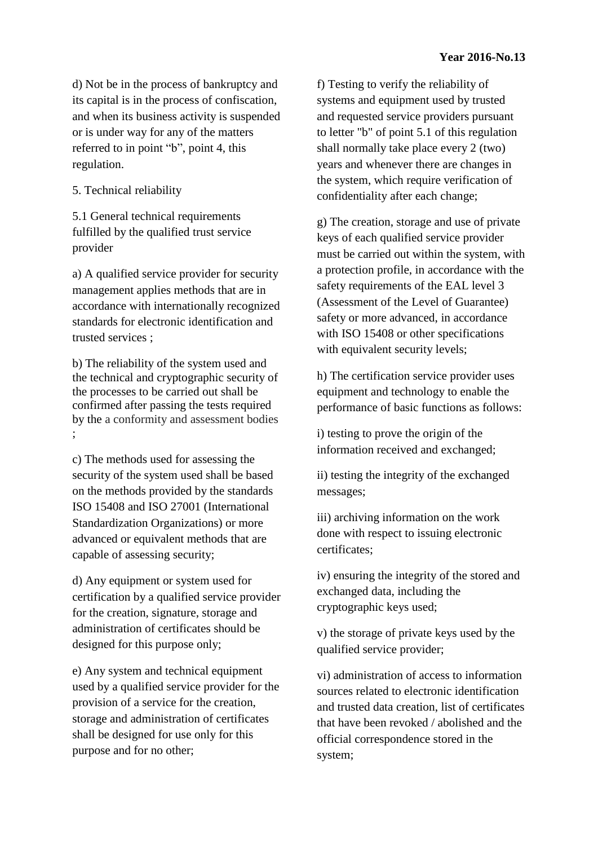d) Not be in the process of bankruptcy and its capital is in the process of confiscation, and when its business activity is suspended or is under way for any of the matters referred to in point "b", point 4, this regulation.

5. Technical reliability

5.1 General technical requirements fulfilled by the qualified trust service provider

a) A qualified service provider for security management applies methods that are in accordance with internationally recognized standards for electronic identification and trusted services ;

b) The reliability of the system used and the technical and cryptographic security of the processes to be carried out shall be confirmed after passing the tests required by the a conformity and assessment bodies ;

c) The methods used for assessing the security of the system used shall be based on the methods provided by the standards ISO 15408 and ISO 27001 (International Standardization Organizations) or more advanced or equivalent methods that are capable of assessing security;

d) Any equipment or system used for certification by a qualified service provider for the creation, signature, storage and administration of certificates should be designed for this purpose only;

e) Any system and technical equipment used by a qualified service provider for the provision of a service for the creation, storage and administration of certificates shall be designed for use only for this purpose and for no other;

f) Testing to verify the reliability of systems and equipment used by trusted and requested service providers pursuant to letter "b" of point 5.1 of this regulation shall normally take place every 2 (two) years and whenever there are changes in the system, which require verification of confidentiality after each change;

g) The creation, storage and use of private keys of each qualified service provider must be carried out within the system, with a protection profile, in accordance with the safety requirements of the EAL level 3 (Assessment of the Level of Guarantee) safety or more advanced, in accordance with ISO 15408 or other specifications with equivalent security levels;

h) The certification service provider uses equipment and technology to enable the performance of basic functions as follows:

i) testing to prove the origin of the information received and exchanged;

ii) testing the integrity of the exchanged messages;

iii) archiving information on the work done with respect to issuing electronic certificates;

iv) ensuring the integrity of the stored and exchanged data, including the cryptographic keys used;

v) the storage of private keys used by the qualified service provider;

vi) administration of access to information sources related to electronic identification and trusted data creation, list of certificates that have been revoked / abolished and the official correspondence stored in the system;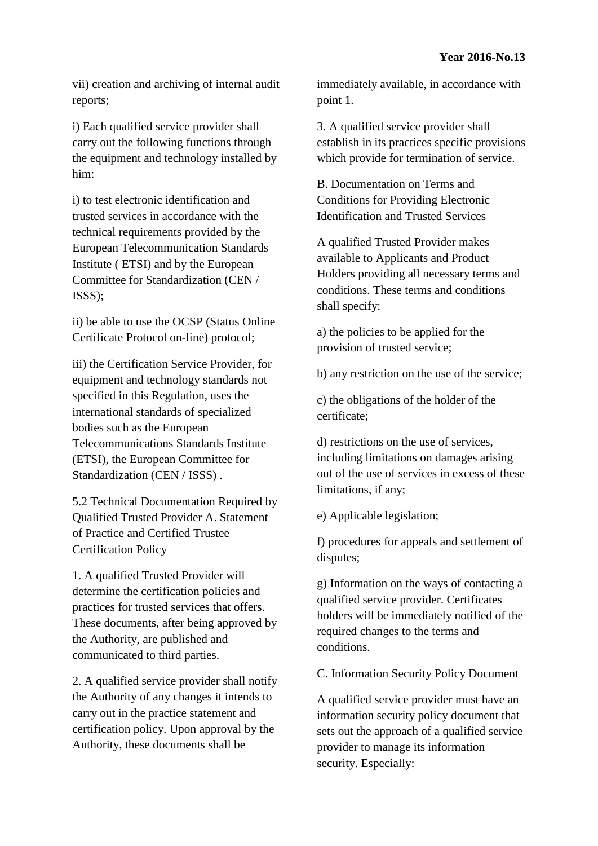vii) creation and archiving of internal audit reports;

i) Each qualified service provider shall carry out the following functions through the equipment and technology installed by him:

i) to test electronic identification and trusted services in accordance with the technical requirements provided by the European Telecommunication Standards Institute ( ETSI) and by the European Committee for Standardization (CEN / ISSS);

ii) be able to use the OCSP (Status Online Certificate Protocol on-line) protocol;

iii) the Certification Service Provider, for equipment and technology standards not specified in this Regulation, uses the international standards of specialized bodies such as the European Telecommunications Standards Institute (ETSI), the European Committee for Standardization (CEN / ISSS).

5.2 Technical Documentation Required by Qualified Trusted Provider A. Statement of Practice and Certified Trustee Certification Policy

1. A qualified Trusted Provider will determine the certification policies and practices for trusted services that offers. These documents, after being approved by the Authority, are published and communicated to third parties.

2. A qualified service provider shall notify the Authority of any changes it intends to carry out in the practice statement and certification policy. Upon approval by the Authority, these documents shall be

immediately available, in accordance with point 1.

3. A qualified service provider shall establish in its practices specific provisions which provide for termination of service.

B. Documentation on Terms and Conditions for Providing Electronic Identification and Trusted Services

A qualified Trusted Provider makes available to Applicants and Product Holders providing all necessary terms and conditions. These terms and conditions shall specify:

a) the policies to be applied for the provision of trusted service;

b) any restriction on the use of the service;

c) the obligations of the holder of the certificate;

d) restrictions on the use of services, including limitations on damages arising out of the use of services in excess of these limitations, if any;

e) Applicable legislation;

f) procedures for appeals and settlement of disputes;

g) Information on the ways of contacting a qualified service provider. Certificates holders will be immediately notified of the required changes to the terms and conditions.

C. Information Security Policy Document

A qualified service provider must have an information security policy document that sets out the approach of a qualified service provider to manage its information security. Especially: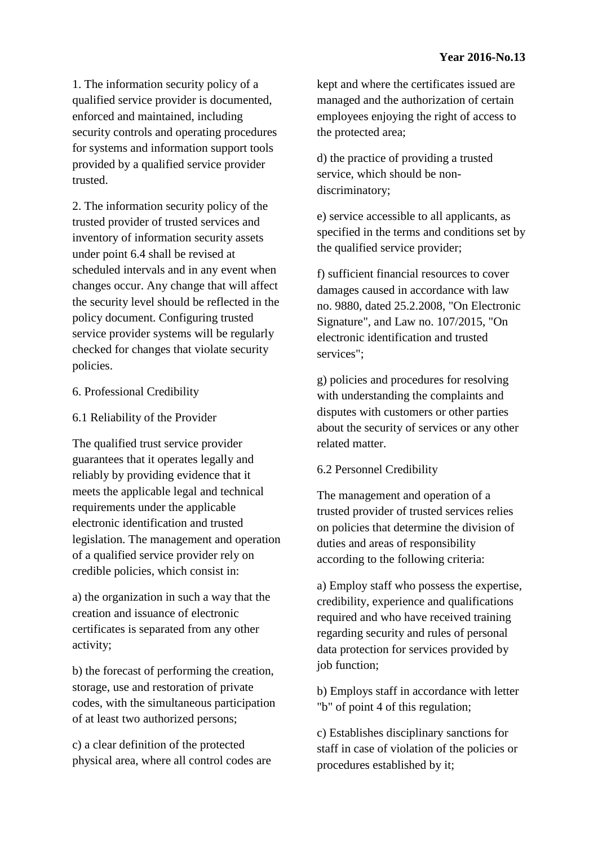1. The information security policy of a qualified service provider is documented, enforced and maintained, including security controls and operating procedures for systems and information support tools provided by a qualified service provider trusted.

2. The information security policy of the trusted provider of trusted services and inventory of information security assets under point 6.4 shall be revised at scheduled intervals and in any event when changes occur. Any change that will affect the security level should be reflected in the policy document. Configuring trusted service provider systems will be regularly checked for changes that violate security policies.

## 6. Professional Credibility

## 6.1 Reliability of the Provider

The qualified trust service provider guarantees that it operates legally and reliably by providing evidence that it meets the applicable legal and technical requirements under the applicable electronic identification and trusted legislation. The management and operation of a qualified service provider rely on credible policies, which consist in:

a) the organization in such a way that the creation and issuance of electronic certificates is separated from any other activity;

b) the forecast of performing the creation, storage, use and restoration of private codes, with the simultaneous participation of at least two authorized persons;

c) a clear definition of the protected physical area, where all control codes are kept and where the certificates issued are managed and the authorization of certain employees enjoying the right of access to the protected area;

d) the practice of providing a trusted service, which should be nondiscriminatory;

e) service accessible to all applicants, as specified in the terms and conditions set by the qualified service provider;

f) sufficient financial resources to cover damages caused in accordance with law no. 9880, dated 25.2.2008, "On Electronic Signature", and Law no. 107/2015, "On electronic identification and trusted services";

g) policies and procedures for resolving with understanding the complaints and disputes with customers or other parties about the security of services or any other related matter.

## 6.2 Personnel Credibility

The management and operation of a trusted provider of trusted services relies on policies that determine the division of duties and areas of responsibility according to the following criteria:

a) Employ staff who possess the expertise, credibility, experience and qualifications required and who have received training regarding security and rules of personal data protection for services provided by job function;

b) Employs staff in accordance with letter "b" of point 4 of this regulation;

c) Establishes disciplinary sanctions for staff in case of violation of the policies or procedures established by it;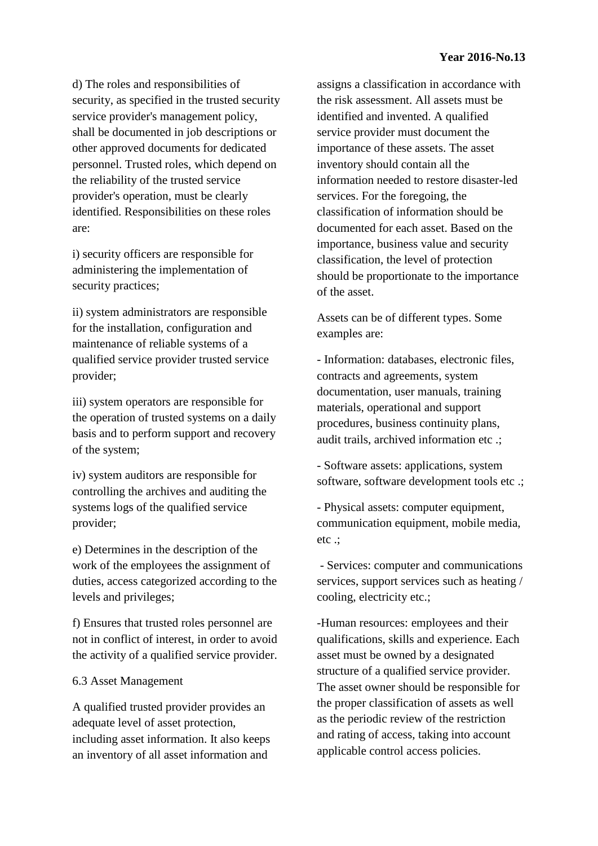d) The roles and responsibilities of security, as specified in the trusted security service provider's management policy, shall be documented in job descriptions or other approved documents for dedicated personnel. Trusted roles, which depend on the reliability of the trusted service provider's operation, must be clearly identified. Responsibilities on these roles are:

i) security officers are responsible for administering the implementation of security practices;

ii) system administrators are responsible for the installation, configuration and maintenance of reliable systems of a qualified service provider trusted service provider;

iii) system operators are responsible for the operation of trusted systems on a daily basis and to perform support and recovery of the system;

iv) system auditors are responsible for controlling the archives and auditing the systems logs of the qualified service provider;

e) Determines in the description of the work of the employees the assignment of duties, access categorized according to the levels and privileges;

f) Ensures that trusted roles personnel are not in conflict of interest, in order to avoid the activity of a qualified service provider.

## 6.3 Asset Management

A qualified trusted provider provides an adequate level of asset protection, including asset information. It also keeps an inventory of all asset information and

assigns a classification in accordance with the risk assessment. All assets must be identified and invented. A qualified service provider must document the importance of these assets. The asset inventory should contain all the information needed to restore disaster-led services. For the foregoing, the classification of information should be documented for each asset. Based on the importance, business value and security classification, the level of protection should be proportionate to the importance of the asset.

Assets can be of different types. Some examples are:

- Information: databases, electronic files, contracts and agreements, system documentation, user manuals, training materials, operational and support procedures, business continuity plans, audit trails, archived information etc .;

- Software assets: applications, system software, software development tools etc .;

- Physical assets: computer equipment, communication equipment, mobile media, etc .;

- Services: computer and communications services, support services such as heating / cooling, electricity etc.;

-Human resources: employees and their qualifications, skills and experience. Each asset must be owned by a designated structure of a qualified service provider. The asset owner should be responsible for the proper classification of assets as well as the periodic review of the restriction and rating of access, taking into account applicable control access policies.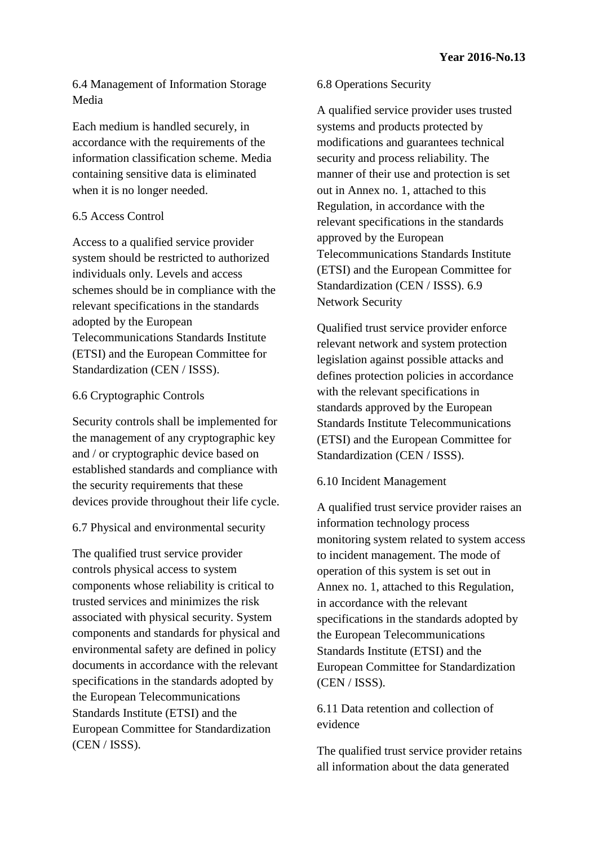6.4 Management of Information Storage Media

Each medium is handled securely, in accordance with the requirements of the information classification scheme. Media containing sensitive data is eliminated when it is no longer needed.

## 6.5 Access Control

Access to a qualified service provider system should be restricted to authorized individuals only. Levels and access schemes should be in compliance with the relevant specifications in the standards adopted by the European Telecommunications Standards Institute (ETSI) and the European Committee for Standardization (CEN / ISSS).

### 6.6 Cryptographic Controls

Security controls shall be implemented for the management of any cryptographic key and / or cryptographic device based on established standards and compliance with the security requirements that these devices provide throughout their life cycle.

#### 6.7 Physical and environmental security

The qualified trust service provider controls physical access to system components whose reliability is critical to trusted services and minimizes the risk associated with physical security. System components and standards for physical and environmental safety are defined in policy documents in accordance with the relevant specifications in the standards adopted by the European Telecommunications Standards Institute (ETSI) and the European Committee for Standardization (CEN / ISSS).

#### 6.8 Operations Security

A qualified service provider uses trusted systems and products protected by modifications and guarantees technical security and process reliability. The manner of their use and protection is set out in Annex no. 1, attached to this Regulation, in accordance with the relevant specifications in the standards approved by the European Telecommunications Standards Institute (ETSI) and the European Committee for Standardization (CEN / ISSS). 6.9 Network Security

Qualified trust service provider enforce relevant network and system protection legislation against possible attacks and defines protection policies in accordance with the relevant specifications in standards approved by the European Standards Institute Telecommunications (ETSI) and the European Committee for Standardization (CEN / ISSS).

#### 6.10 Incident Management

A qualified trust service provider raises an information technology process monitoring system related to system access to incident management. The mode of operation of this system is set out in Annex no. 1, attached to this Regulation, in accordance with the relevant specifications in the standards adopted by the European Telecommunications Standards Institute (ETSI) and the European Committee for Standardization (CEN / ISSS).

6.11 Data retention and collection of evidence

The qualified trust service provider retains all information about the data generated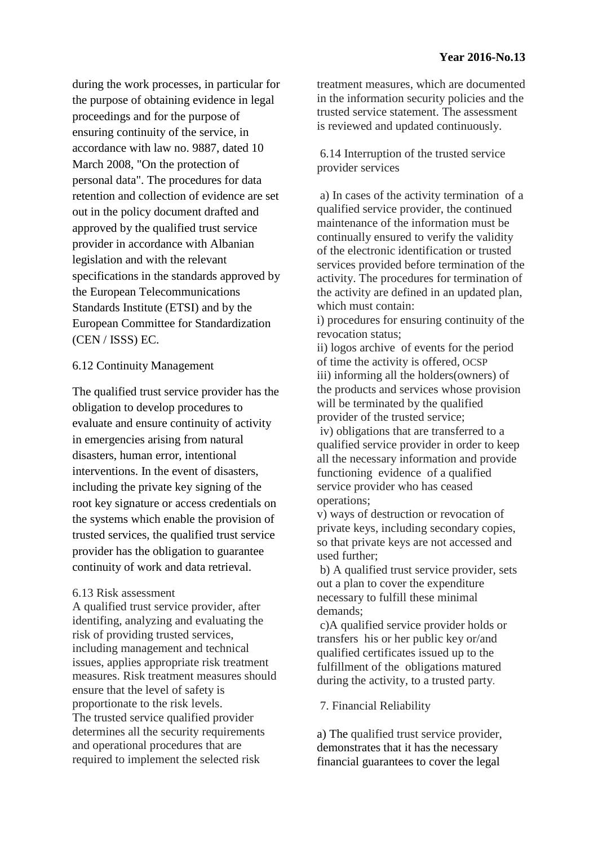during the work processes, in particular for the purpose of obtaining evidence in legal proceedings and for the purpose of ensuring continuity of the service, in accordance with law no. 9887, dated 10 March 2008, "On the protection of personal data". The procedures for data retention and collection of evidence are set out in the policy document drafted and approved by the qualified trust service provider in accordance with Albanian legislation and with the relevant specifications in the standards approved by the European Telecommunications Standards Institute (ETSI) and by the European Committee for Standardization (CEN / ISSS) EC.

## 6.12 Continuity Management

The qualified trust service provider has the obligation to develop procedures to evaluate and ensure continuity of activity in emergencies arising from natural disasters, human error, intentional interventions. In the event of disasters, including the private key signing of the root key signature or access credentials on the systems which enable the provision of trusted services, the qualified trust service provider has the obligation to guarantee continuity of work and data retrieval.

#### 6.13 Risk assessment

A qualified trust service provider, after identifing, analyzing and evaluating the risk of providing trusted services, including management and technical issues, applies appropriate risk treatment measures. Risk treatment measures should ensure that the level of safety is proportionate to the risk levels. The trusted service qualified provider determines all the security requirements and operational procedures that are required to implement the selected risk

treatment measures, which are documented in the information security policies and the trusted service statement. The assessment is reviewed and updated continuously.

6.14 Interruption of the trusted service provider services

a) In cases of the activity termination of a qualified service provider, the continued maintenance of the information must be continually ensured to verify the validity of the electronic identification or trusted services provided before termination of the activity. The procedures for termination of the activity are defined in an updated plan, which must contain:

i) procedures for ensuring continuity of the revocation status;

ii) logos archive of events for the period of time the activity is offered, OCSP iii) informing all the holders(owners) of the products and services whose provision will be terminated by the qualified provider of the trusted service;

iv) obligations that are transferred to a qualified service provider in order to keep all the necessary information and provide functioning evidence of a qualified service provider who has ceased operations;

v) ways of destruction or revocation of private keys, including secondary copies, so that private keys are not accessed and used further;

b) A qualified trust service provider, sets out a plan to cover the expenditure necessary to fulfill these minimal demands;

c)A qualified service provider holds or transfers his or her public key or/and qualified certificates issued up to the fulfillment of the obligations matured during the activity, to a trusted party.

7. Financial Reliability

a) The qualified trust service provider, demonstrates that it has the necessary financial guarantees to cover the legal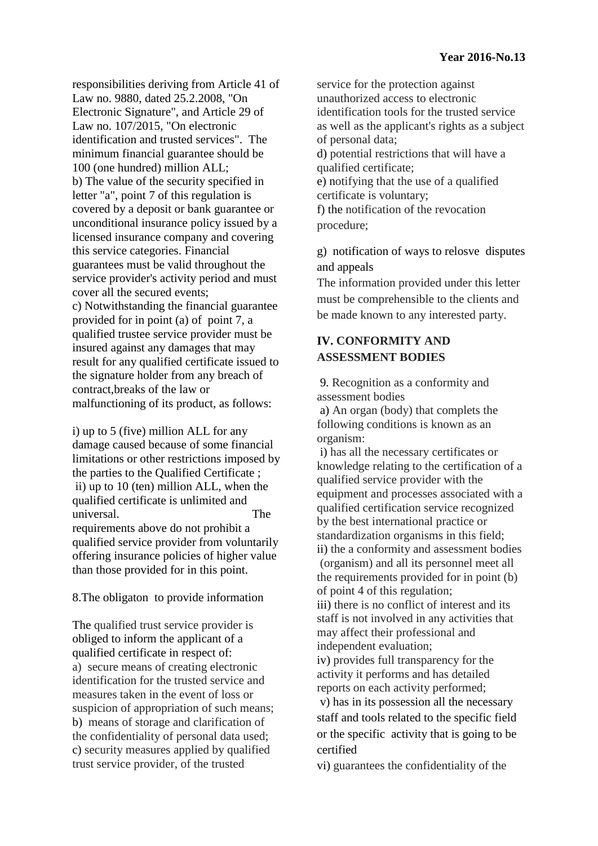responsibilities deriving from Article 41 of Law no. 9880, dated 25.2.2008, "On Electronic Signature", and Article 29 of Law no. 107/2015, "On electronic identification and trusted services". The minimum financial guarantee should be 100 (one hundred) million ALL; b) The value of the security specified in letter "a", point 7 of this regulation is covered by a deposit or bank guarantee or unconditional insurance policy issued by a licensed insurance company and covering this service categories. Financial guarantees must be valid throughout the service provider's activity period and must cover all the secured events; c) Notwithstanding the financial guarantee provided for in point (a) of point 7, a qualified trustee service provider must be insured against any damages that may result for any qualified certificate issued to the signature holder from any breach of contract,breaks of the law or malfunctioning of its product, as follows:

i) up to 5 (five) million ALL for any damage caused because of some financial limitations or other restrictions imposed by the parties to the Qualified Certificate ; ii) up to 10 (ten) million ALL, when the qualified certificate is unlimited and universal. The requirements above do not prohibit a qualified service provider from voluntarily offering insurance policies of higher value than those provided for in this point.

## 8.The obligaton to provide information

The qualified trust service provider is obliged to inform the applicant of a qualified certificate in respect of: a) secure means of creating electronic identification for the trusted service and measures taken in the event of loss or suspicion of appropriation of such means; b) means of storage and clarification of the confidentiality of personal data used; c) security measures applied by qualified trust service provider, of the trusted

service for the protection against unauthorized access to electronic identification tools for the trusted service as well as the applicant's rights as a subject of personal data; d) potential restrictions that will have a qualified certificate; e) notifying that the use of a qualified certificate is voluntary; f) the notification of the revocation procedure;

g) notification of ways to relosve disputes and appeals

The information provided under this letter must be comprehensible to the clients and be made known to any interested party.

# **IV. CONFORMITY AND ASSESSMENT BODIES**

9. Recognition as a conformity and assessment bodies

a) An organ (body) that complets the following conditions is known as an organism:

i) has all the necessary certificates or knowledge relating to the certification of a qualified service provider with the equipment and processes associated with a qualified certification service recognized by the best international practice or standardization organisms in this field; ii) the a conformity and assessment bodies (organism) and all its personnel meet all the requirements provided for in point (b) of point 4 of this regulation;

iii) there is no conflict of interest and its staff is not involved in any activities that may affect their professional and independent evaluation;

iv) provides full transparency for the activity it performs and has detailed reports on each activity performed;

v) has in its possession all the necessary staff and tools related to the specific field or the specific activity that is going to be certified

vi) guarantees the confidentiality of the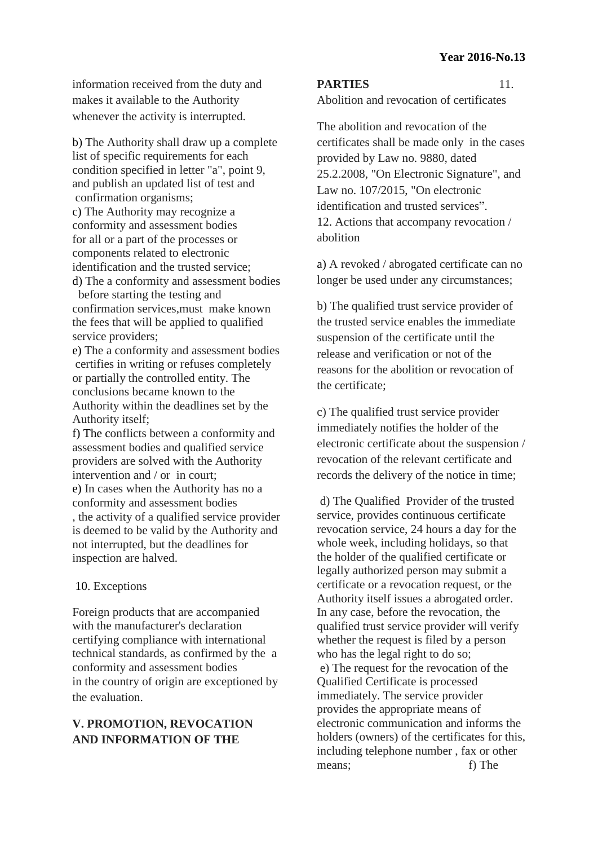information received from the duty and makes it available to the Authority whenever the activity is interrupted.

b) The Authority shall draw up a complete list of specific requirements for each condition specified in letter "a", point 9, and publish an updated list of test and confirmation organisms; c) The Authority may recognize a conformity and assessment bodies for all or a part of the processes or components related to electronic identification and the trusted service;

d) The a conformity and assessment bodies before starting the testing and confirmation services,must make known the fees that will be applied to qualified service providers:

e) The a conformity and assessment bodies certifies in writing or refuses completely or partially the controlled entity. The conclusions became known to the Authority within the deadlines set by the Authority itself;

f) The conflicts between a conformity and assessment bodies and qualified service providers are solved with the Authority intervention and / or in court; e) In cases when the Authority has no a conformity and assessment bodies , the activity of a qualified service provider is deemed to be valid by the Authority and not interrupted, but the deadlines for inspection are halved.

#### 10. Exceptions

Foreign products that are accompanied with the manufacturer's declaration certifying compliance with international technical standards, as confirmed by the a conformity and assessment bodies in the country of origin are exceptioned by the evaluation.

# **V. PROMOTION, REVOCATION AND INFORMATION OF THE**

#### **PARTIES** 11.

Abolition and revocation of certificates

The abolition and revocation of the certificates shall be made only in the cases provided by Law no. 9880, dated 25.2.2008, "On Electronic Signature", and Law no. 107/2015, "On electronic identification and trusted services". 12. Actions that accompany revocation / abolition

a) A revoked / abrogated certificate can no longer be used under any circumstances;

b) The qualified trust service provider of the trusted service enables the immediate suspension of the certificate until the release and verification or not of the reasons for the abolition or revocation of the certificate;

c) The qualified trust service provider immediately notifies the holder of the electronic certificate about the suspension / revocation of the relevant certificate and records the delivery of the notice in time;

d) The Qualified Provider of the trusted service, provides continuous certificate revocation service, 24 hours a day for the whole week, including holidays, so that the holder of the qualified certificate or legally authorized person may submit a certificate or a revocation request, or the Authority itself issues a abrogated order. In any case, before the revocation, the qualified trust service provider will verify whether the request is filed by a person who has the legal right to do so; e) The request for the revocation of the Qualified Certificate is processed immediately. The service provider provides the appropriate means of electronic communication and informs the holders (owners) of the certificates for this, including telephone number , fax or other means; f) The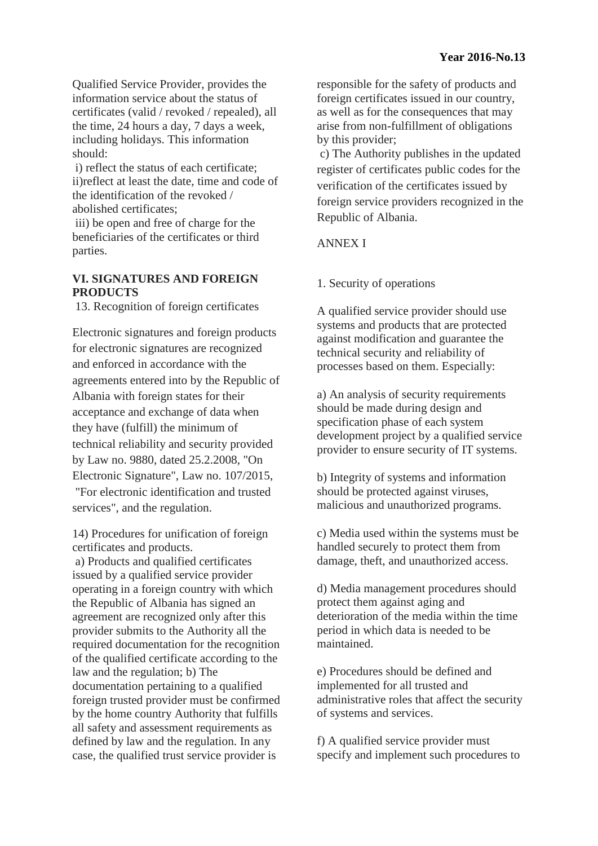Qualified Service Provider, provides the information service about the status of certificates (valid / revoked / repealed), all the time, 24 hours a day, 7 days a week, including holidays. This information should:

i) reflect the status of each certificate; ii)reflect at least the date, time and code of the identification of the revoked / abolished certificates;

iii) be open and free of charge for the beneficiaries of the certificates or third parties.

## **VI. SIGNATURES AND FOREIGN PRODUCTS**

13. Recognition of foreign certificates

Electronic signatures and foreign products for electronic signatures are recognized and enforced in accordance with the agreements entered into by the Republic of Albania with foreign states for their acceptance and exchange of data when they have (fulfill) the minimum of technical reliability and security provided by Law no. 9880, dated 25.2.2008, "On Electronic Signature", Law no. 107/2015, "For electronic identification and trusted services", and the regulation.

14) Procedures for unification of foreign certificates and products.

a) Products and qualified certificates issued by a qualified service provider operating in a foreign country with which the Republic of Albania has signed an agreement are recognized only after this provider submits to the Authority all the required documentation for the recognition of the qualified certificate according to the law and the regulation; b) The documentation pertaining to a qualified foreign trusted provider must be confirmed by the home country Authority that fulfills all safety and assessment requirements as defined by law and the regulation. In any case, the qualified trust service provider is

responsible for the safety of products and foreign certificates issued in our country, as well as for the consequences that may arise from non-fulfillment of obligations by this provider;

c) The Authority publishes in the updated register of certificates public codes for the verification of the certificates issued by foreign service providers recognized in the Republic of Albania.

# ANNEX I

# 1. Security of operations

A qualified service provider should use systems and products that are protected against modification and guarantee the technical security and reliability of processes based on them. Especially:

a) An analysis of security requirements should be made during design and specification phase of each system development project by a qualified service provider to ensure security of IT systems.

b) Integrity of systems and information should be protected against viruses, malicious and unauthorized programs.

c) Media used within the systems must be handled securely to protect them from damage, theft, and unauthorized access.

d) Media management procedures should protect them against aging and deterioration of the media within the time period in which data is needed to be maintained.

e) Procedures should be defined and implemented for all trusted and administrative roles that affect the security of systems and services.

f) A qualified service provider must specify and implement such procedures to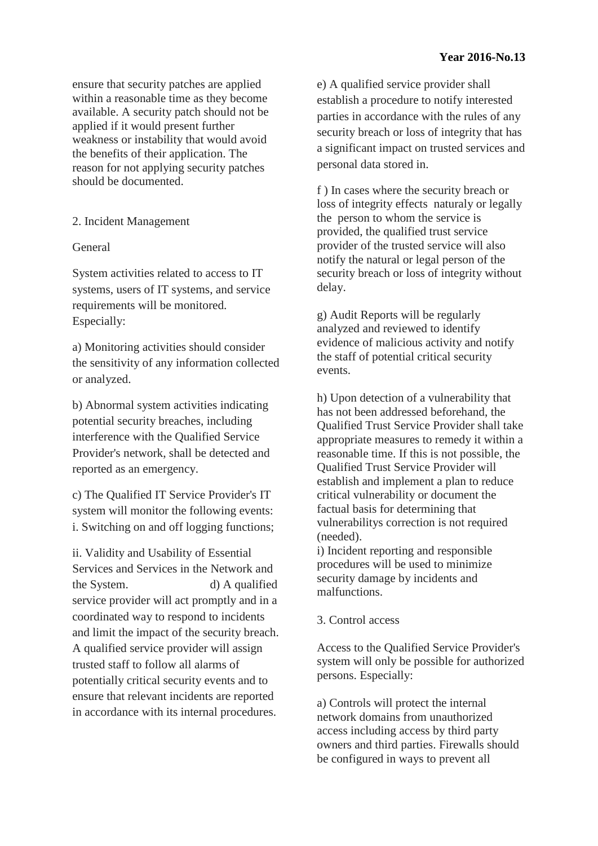ensure that security patches are applied within a reasonable time as they become available. A security patch should not be applied if it would present further weakness or instability that would avoid the benefits of their application. The reason for not applying security patches should be documented.

## 2. Incident Management

## General

System activities related to access to IT systems, users of IT systems, and service requirements will be monitored. Especially:

a) Monitoring activities should consider the sensitivity of any information collected or analyzed.

b) Abnormal system activities indicating potential security breaches, including interference with the Qualified Service Provider's network, shall be detected and reported as an emergency.

c) The Qualified IT Service Provider's IT system will monitor the following events: i. Switching on and off logging functions;

ii. Validity and Usability of Essential Services and Services in the Network and the System. d) A qualified service provider will act promptly and in a coordinated way to respond to incidents and limit the impact of the security breach. A qualified service provider will assign trusted staff to follow all alarms of potentially critical security events and to ensure that relevant incidents are reported in accordance with its internal procedures.

e) A qualified service provider shall establish a procedure to notify interested parties in accordance with the rules of any security breach or loss of integrity that has a significant impact on trusted services and personal data stored in.

f ) In cases where the security breach or loss of integrity effects naturaly or legally the person to whom the service is provided, the qualified trust service provider of the trusted service will also notify the natural or legal person of the security breach or loss of integrity without delay.

g) Audit Reports will be regularly analyzed and reviewed to identify evidence of malicious activity and notify the staff of potential critical security events.

h) Upon detection of a vulnerability that has not been addressed beforehand, the Qualified Trust Service Provider shall take appropriate measures to remedy it within a reasonable time. If this is not possible, the Qualified Trust Service Provider will establish and implement a plan to reduce critical vulnerability or document the factual basis for determining that vulnerabilitys correction is not required (needed).

i) Incident reporting and responsible procedures will be used to minimize security damage by incidents and malfunctions.

## 3. Control access

Access to the Qualified Service Provider's system will only be possible for authorized persons. Especially:

a) Controls will protect the internal network domains from unauthorized access including access by third party owners and third parties. Firewalls should be configured in ways to prevent all